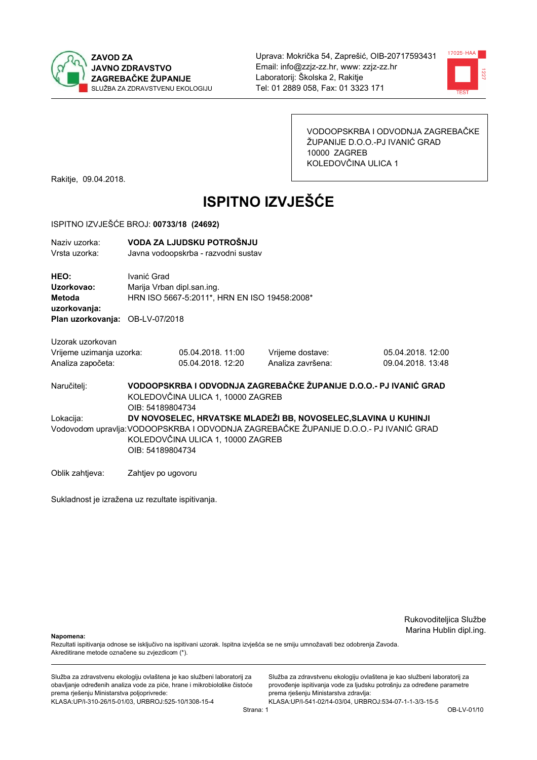



VODOOPSKRBA I ODVODNJA ZAGREBAČKE ŽUPANIJE D.O.O.-PJ IVANIĆ GRAD 10000 ZAGREB KOLEDOVČINA ULICA 1

Rakitje, 09.04.2018.

# **ISPITNO IZVJEŠĆE**

#### ISPITNO IZVJEŠĆE BROJ: 00733/18 (24692)

| Naziv uzorka:<br>Vrsta uzorka:                                                  |                    | VODA ZA LJUDSKU POTROŠNJU<br>Javna vodoopskrba - razvodni sustav           |                                                                                       |                                                                   |  |  |
|---------------------------------------------------------------------------------|--------------------|----------------------------------------------------------------------------|---------------------------------------------------------------------------------------|-------------------------------------------------------------------|--|--|
| HEO:<br>Uzorkovao:<br>Metoda<br>uzorkovanja:<br>Plan uzorkovanja: OB-LV-07/2018 | Ivanić Grad        | Marija Vrban dipl.san.ing.<br>HRN ISO 5667-5:2011*, HRN EN ISO 19458:2008* |                                                                                       |                                                                   |  |  |
| Uzorak uzorkovan                                                                |                    |                                                                            |                                                                                       |                                                                   |  |  |
| Vrijeme uzimanja uzorka:<br>Analiza započeta:                                   |                    | 05.04.2018. 11:00<br>05.04.2018. 12:20                                     | Vrijeme dostave:<br>Analiza završena:                                                 | 05.04.2018. 12:00<br>09.04.2018. 13:48                            |  |  |
| Naručitelj:                                                                     | OIB: 54189804734   | KOLEDOVČINA ULICA 1, 10000 ZAGREB                                          |                                                                                       | VODOOPSKRBA I ODVODNJA ZAGREBAČKE ŽUPANIJE D.O.O.- PJ IVANIĆ GRAD |  |  |
| Lokacija:                                                                       |                    |                                                                            | DV NOVOSELEC, HRVATSKE MLADEŽI BB, NOVOSELEC, SLAVINA U KUHINJI                       |                                                                   |  |  |
|                                                                                 | OIB: 54189804734   | KOLEDOVČINA ULICA 1, 10000 ZAGREB                                          | Vodovodom upravlja: VODOOPSKRBA I ODVODNJA ZAGREBAČKE ŽUPANIJE D.O.O.- PJ IVANIĆ GRAD |                                                                   |  |  |
| Oblik zahtjeva:                                                                 | Zahtjev po ugovoru |                                                                            |                                                                                       |                                                                   |  |  |

Sukladnost je izražena uz rezultate ispitivanja.

Rukovoditeljica Službe Marina Hublin dipl.ing.

Napomena:

Rezultati ispitivanja odnose se isključivo na ispitivani uzorak. Ispitna izvješća se ne smiju umnožavati bez odobrenja Zavoda. Akreditirane metode označene su zvjezdicom (\*).

Služba za zdravstvenu ekologiju ovlaštena je kao službeni laboratorij za obavljanje određenih analiza vode za piće, hrane i mikrobiološke čistoće prema rješenju Ministarstva poljoprivrede: KLASA.UP/I-310-26/15-01/03, URBROJ:525-10/1308-15-4

Služba za zdravstvenu ekologiju ovlaštena je kao službeni laboratorij za provođenje ispitivanja vode za ljudsku potrošnju za određene parametre prema rješenju Ministarstva zdravlja: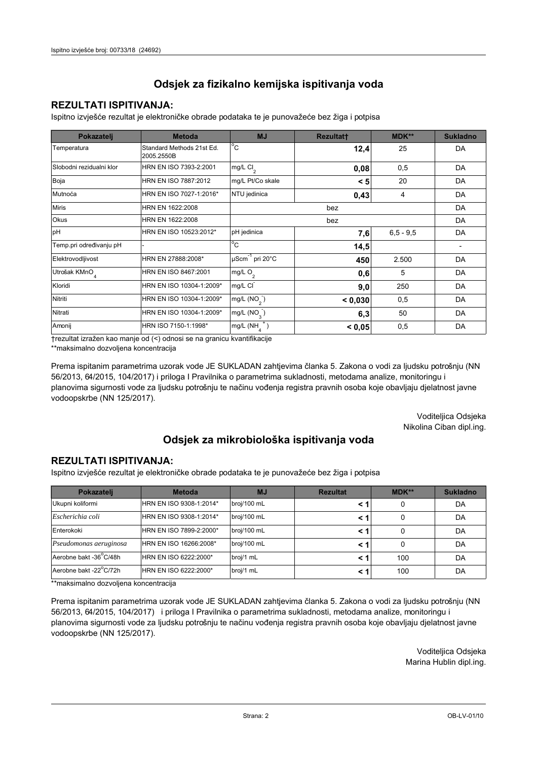## **REZULTATI ISPITIVANJA:**

Ispitno izviešće rezultat je elektroničke obrade podataka te je punovažeće bez žiga i potpisa

| Pokazatelj                | <b>Metoda</b>                           | <b>MJ</b>                        | <b>Rezultatt</b> | <b>MDK**</b>  | <b>Sukladno</b> |
|---------------------------|-----------------------------------------|----------------------------------|------------------|---------------|-----------------|
| Temperatura               | Standard Methods 21st Ed.<br>2005.2550B | $^{\circ}$ C                     | 12,4             | 25            | DA              |
| Slobodni rezidualni klor  | HRN EN ISO 7393-2:2001                  | $mg/L$ Cl <sub>2</sub>           | 0,08             | 0,5           | DA              |
| Boja                      | HRN EN ISO 7887:2012                    | mg/L Pt/Co skale                 | < 5              | 20            | DA              |
| Mutnoća                   | HRN EN ISO 7027-1:2016*                 | NTU jedinica                     | 0,43             | 4             | DA              |
| <b>Miris</b>              | HRN EN 1622:2008                        |                                  |                  | DA            |                 |
| Okus                      | HRN EN 1622:2008                        |                                  |                  | DA            |                 |
| pH                        | HRN EN ISO 10523:2012*                  | pH jedinica                      | 7,6              | $6, 5 - 9, 5$ | DA              |
| Temp.pri određivanju pH   |                                         | $^{\circ}$ C                     | 14,5             |               |                 |
| Elektrovodljivost         | HRN EN 27888:2008*                      | $\mu$ Scm <sup>-1</sup> pri 20°C | 450              | 2.500         | DA              |
| Utrošak KMnO <sub>4</sub> | HRN EN ISO 8467:2001                    | mg/L $O_2$                       | 0,6              | 5             | DA              |
| Kloridi                   | HRN EN ISO 10304-1:2009*                | mg/L CI                          | 9,0              | 250           | DA              |
| Nitriti                   | HRN EN ISO 10304-1:2009*                | mg/L (NO <sub>2</sub> )          | < 0.030          | 0,5           | DA              |
| Nitrati                   | HRN EN ISO 10304-1:2009*                | mg/L $(NO_{\alpha})$             | 6,3              | 50            | DA              |
| Amonij                    | HRN ISO 7150-1:1998*                    | mg/L (NH                         | < 0.05           | 0,5           | DA              |

trezultat izražen kao manje od (<) odnosi se na granicu kvantifikacije

\*\*maksimalno dozvoljena koncentracija

Prema ispitanim parametrima uzorak vode JE SUKLADAN zahtjevima članka 5. Zakona o vodi za ljudsku potrošnju (NN 56/2013, 64/2015, 104/2017) i priloga I Pravilnika o parametrima sukladnosti, metodama analize, monitoringu i planovima sigurnosti vode za ljudsku potrošnju te načinu vođenja registra pravnih osoba koje obavljaju djelatnost javne vodoopskrbe (NN 125/2017).

> Voditeljica Odsjeka Nikolina Ciban dipl.ing.

## Odsjek za mikrobiološka ispitivanja voda

### **REZULTATI ISPITIVANJA:**

Ispitno izvješće rezultat je elektroničke obrade podataka te je punovažeće bez žiga i potpisa

| Pokazatelj             | <b>Metoda</b>           | <b>MJ</b>   | <b>Rezultat</b> | MDK** | <b>Sukladno</b> |
|------------------------|-------------------------|-------------|-----------------|-------|-----------------|
| Ukupni koliformi       | HRN EN ISO 9308-1:2014* | broj/100 mL |                 |       | DA              |
| Escherichia coli       | HRN EN ISO 9308-1:2014* | broj/100 mL | < 1             |       | DA              |
| Enterokoki             | HRN EN ISO 7899-2:2000* | broj/100 mL | < '             |       | DA              |
| Pseudomonas aeruginosa | HRN EN ISO 16266:2008*  | broj/100 mL | < 1             | 0     | DA              |
| Aerobne bakt -36 C/48h | HRN EN ISO 6222:2000*   | broj/1 mL   |                 | 100   | DA              |
| Aerobne bakt -22°C/72h | HRN EN ISO 6222:2000*   | broj/1 mL   | < 1             | 100   | DA              |

\*\*maksimalno dozvoljena koncentracija

Prema ispitanim parametrima uzorak vode JE SUKLADAN zahtjevima članka 5. Zakona o vodi za ljudsku potrošnju (NN 56/2013, 64/2015, 104/2017) i priloga I Pravilnika o parametrima sukladnosti, metodama analize, monitoringu i planovima sigurnosti vode za ljudsku potrošnju te načinu vođenja registra pravnih osoba koje obavljaju djelatnost javne vodoopskrbe (NN 125/2017).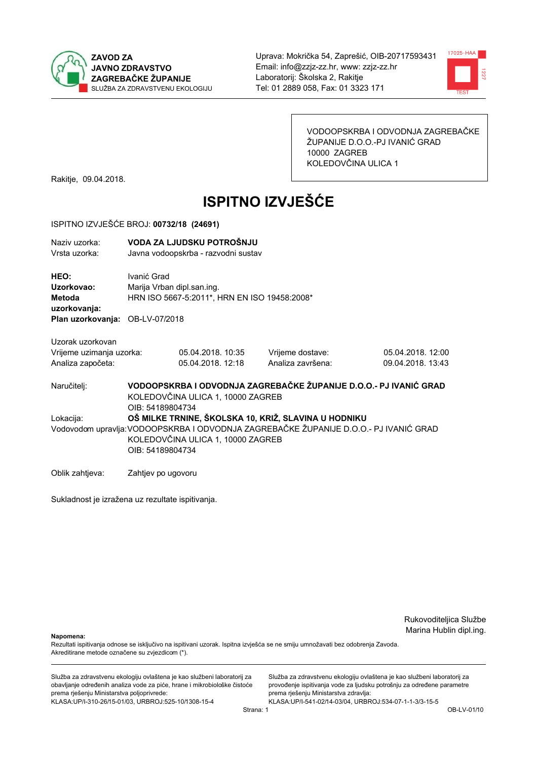



VODOOPSKRBA I ODVODNJA ZAGREBAČKE ŽUPANIJE D.O.O.-PJ IVANIĆ GRAD 10000 ZAGREB KOLEDOVČINA ULICA 1

Rakitje, 09.04.2018.

# **ISPITNO IZVJEŠĆE**

#### ISPITNO IZVJEŠĆE BROJ: 00732/18 (24691)

| Naziv uzorka:<br>Vrsta uzorka:                                                  |                                                                                                                                                                                                        | VODA ZA LJUDSKU POTROŠNJU<br>Javna vodoopskrba - razvodni sustav           |                                                                   |                                        |  |
|---------------------------------------------------------------------------------|--------------------------------------------------------------------------------------------------------------------------------------------------------------------------------------------------------|----------------------------------------------------------------------------|-------------------------------------------------------------------|----------------------------------------|--|
| HEO:<br>Uzorkovao:<br>Metoda<br>uzorkovanja:<br>Plan uzorkovanja: OB-LV-07/2018 | Ivanić Grad                                                                                                                                                                                            | Marija Vrban dipl.san.ing.<br>HRN ISO 5667-5:2011*, HRN EN ISO 19458:2008* |                                                                   |                                        |  |
| Uzorak uzorkovan<br>Vrijeme uzimanja uzorka:<br>Analiza započeta:               |                                                                                                                                                                                                        | 05.04.2018. 10:35<br>05.04.2018. 12:18                                     | Vrijeme dostave:<br>Analiza završena:                             | 05.04.2018. 12:00<br>09.04.2018. 13:43 |  |
| Naručitelj:                                                                     | OIB: 54189804734                                                                                                                                                                                       | KOLEDOVČINA ULICA 1, 10000 ZAGREB                                          | VODOOPSKRBA I ODVODNJA ZAGREBAČKE ŽUPANIJE D.O.O.- PJ IVANIĆ GRAD |                                        |  |
| Lokacija:                                                                       | OŠ MILKE TRNINE, ŠKOLSKA 10, KRIŽ, SLAVINA U HODNIKU<br>Vodovodom upravlja: VODOOPSKRBA I ODVODNJA ZAGREBAČKE ŽUPANIJE D.O.O.- PJ IVANIĆ GRAD<br>KOLEDOVČINA ULICA 1, 10000 ZAGREB<br>OIB: 54189804734 |                                                                            |                                                                   |                                        |  |
| Oblik zahtjeva:                                                                 | Zahtjev po ugovoru                                                                                                                                                                                     |                                                                            |                                                                   |                                        |  |

Sukladnost je izražena uz rezultate ispitivanja.

Rukovoditeljica Službe Marina Hublin dipl.ing.

Napomena:

Rezultati ispitivanja odnose se isključivo na ispitivani uzorak. Ispitna izvješća se ne smiju umnožavati bez odobrenja Zavoda. Akreditirane metode označene su zvjezdicom (\*).

Služba za zdravstvenu ekologiju ovlaštena je kao službeni laboratorij za obavljanje određenih analiza vode za piće, hrane i mikrobiološke čistoće prema rješenju Ministarstva poljoprivrede: KLASA.UP/I-310-26/15-01/03, URBROJ:525-10/1308-15-4

Služba za zdravstvenu ekologiju ovlaštena je kao službeni laboratorij za provođenje ispitivanja vode za ljudsku potrošnju za određene parametre prema rješenju Ministarstva zdravlja: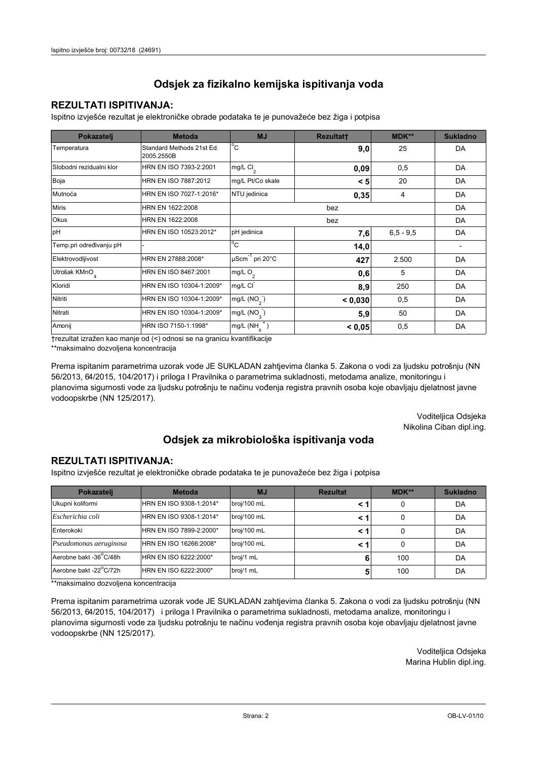## **REZULTATI ISPITIVANJA:**

Ispitno izviešće rezultat je elektroničke obrade podataka te je punovažeće bez žiga i potpisa

| Pokazatelj                | <b>Metoda</b>                           | <b>MJ</b>                        | <b>Rezultatt</b> | <b>MDK**</b>  | <b>Sukladno</b> |
|---------------------------|-----------------------------------------|----------------------------------|------------------|---------------|-----------------|
| Temperatura               | Standard Methods 21st Ed.<br>2005.2550B | $^{\circ}$ C                     | 9,0              | 25            | DA              |
| Slobodni rezidualni klor  | HRN EN ISO 7393-2:2001                  | $mg/L$ Cl <sub>2</sub>           | 0,09             | 0,5           | DA              |
| Boja                      | HRN EN ISO 7887:2012                    | mg/L Pt/Co skale                 | < 5              | 20            | DA              |
| Mutnoća                   | HRN EN ISO 7027-1:2016*                 | NTU jedinica                     | 0,35             | 4             | DA              |
| <b>Miris</b>              | HRN EN 1622:2008                        |                                  |                  | DA            |                 |
| Okus                      | HRN EN 1622:2008                        |                                  | DA               |               |                 |
| pH                        | HRN EN ISO 10523:2012*                  | pH jedinica                      | 7,6              | $6, 5 - 9, 5$ | DA              |
| Temp.pri određivanju pH   |                                         | $^{\circ}$ C                     | 14,0             |               |                 |
| Elektrovodljivost         | HRN EN 27888:2008*                      | $\mu$ Scm <sup>-1</sup> pri 20°C | 427              | 2.500         | DA              |
| Utrošak KMnO <sub>4</sub> | HRN EN ISO 8467:2001                    | mg/L $O_2$                       | 0,6              | 5             | DA              |
| Kloridi                   | HRN EN ISO 10304-1:2009*                | mg/L CI                          | 8,9              | 250           | DA              |
| Nitriti                   | HRN EN ISO 10304-1:2009*                | mg/L (NO <sub>2</sub> )          | < 0.030          | 0,5           | DA              |
| Nitrati                   | HRN EN ISO 10304-1:2009*                | mg/L $(NO_{\alpha})$             | 5,9              | 50            | DA              |
| Amonij                    | HRN ISO 7150-1:1998*                    | mg/L (NH                         | < 0.05           | 0,5           | DA              |

trezultat izražen kao manje od (<) odnosi se na granicu kvantifikacije

\*\*maksimalno dozvoljena koncentracija

Prema ispitanim parametrima uzorak vode JE SUKLADAN zahtjevima članka 5. Zakona o vodi za ljudsku potrošnju (NN 56/2013, 64/2015, 104/2017) i priloga I Pravilnika o parametrima sukladnosti, metodama analize, monitoringu i planovima sigurnosti vode za ljudsku potrošnju te načinu vođenja registra pravnih osoba koje obavljaju djelatnost javne vodoopskrbe (NN 125/2017).

> Voditeljica Odsjeka Nikolina Ciban dipl.ing.

## Odsjek za mikrobiološka ispitivanja voda

### **REZULTATI ISPITIVANJA:**

Ispitno izvješće rezultat je elektroničke obrade podataka te je punovažeće bez žiga i potpisa

| Pokazatelj             | <b>Metoda</b>           | <b>MJ</b>   | <b>Rezultat</b> | MDK** | <b>Sukladno</b> |
|------------------------|-------------------------|-------------|-----------------|-------|-----------------|
| Ukupni koliformi       | HRN EN ISO 9308-1:2014* | broj/100 mL |                 |       | DA              |
| Escherichia coli       | HRN EN ISO 9308-1:2014* | broj/100 mL | < 1             |       | DA              |
| Enterokoki             | HRN EN ISO 7899-2:2000* | broj/100 mL | < '             |       | DA              |
| Pseudomonas aeruginosa | HRN EN ISO 16266:2008*  | broj/100 mL | < 1             | 0     | DA              |
| Aerobne bakt -36 C/48h | HRN EN ISO 6222:2000*   | broj/1 mL   | 6               | 100   | DA              |
| Aerobne bakt -22°C/72h | HRN EN ISO 6222:2000*   | broj/1 mL   |                 | 100   | DA              |

\*\*maksimalno dozvoljena koncentracija

Prema ispitanim parametrima uzorak vode JE SUKLADAN zahtjevima članka 5. Zakona o vodi za ljudsku potrošnju (NN 56/2013, 64/2015, 104/2017) i priloga I Pravilnika o parametrima sukladnosti, metodama analize, monitoringu i planovima sigurnosti vode za ljudsku potrošnju te načinu vođenja registra pravnih osoba koje obavljaju djelatnost javne vodoopskrbe (NN 125/2017).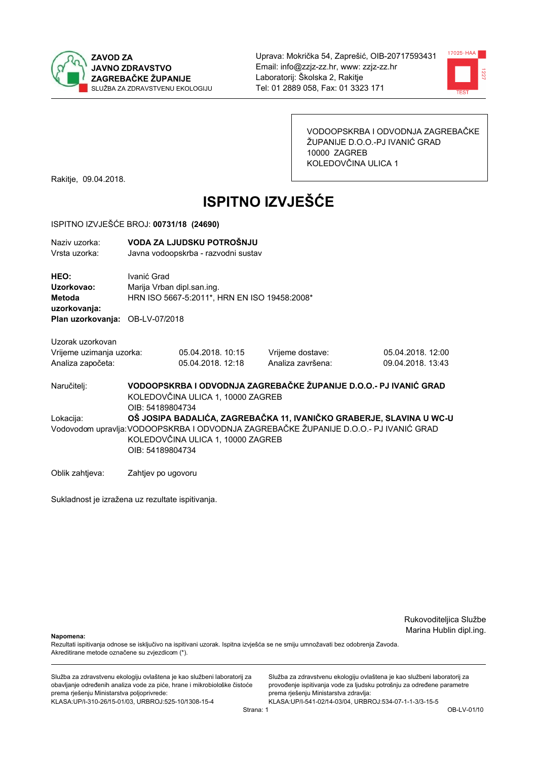



VODOOPSKRBA I ODVODNJA ZAGREBAČKE ŽUPANIJE D.O.O.-PJ IVANIĆ GRAD 10000 ZAGREB KOLEDOVČINA ULICA 1

Rakitje, 09.04.2018.

# **ISPITNO IZVJEŠĆE**

#### ISPITNO IZVJEŠĆE BROJ: 00731/18 (24690)

| Naziy uzorka:<br>Vrsta uzorka:                                                  |                                                                                                                                                                                                                        | VODA ZA LJUDSKU POTROŠNJU<br>Javna vodoopskrba - razvodni sustav           |                                                                   |                                        |  |
|---------------------------------------------------------------------------------|------------------------------------------------------------------------------------------------------------------------------------------------------------------------------------------------------------------------|----------------------------------------------------------------------------|-------------------------------------------------------------------|----------------------------------------|--|
| HEO:<br>Uzorkovao:<br>Metoda<br>uzorkovanja:<br>Plan uzorkovanja: OB-LV-07/2018 | Ivanić Grad                                                                                                                                                                                                            | Marija Vrban dipl.san.ing.<br>HRN ISO 5667-5:2011*, HRN EN ISO 19458:2008* |                                                                   |                                        |  |
| Uzorak uzorkovan                                                                |                                                                                                                                                                                                                        |                                                                            |                                                                   |                                        |  |
| Vrijeme uzimanja uzorka:<br>Analiza započeta:                                   |                                                                                                                                                                                                                        | 05.04.2018. 10:15<br>05.04.2018. 12:18                                     | Vrijeme dostave:<br>Analiza završena:                             | 05.04.2018. 12:00<br>09.04.2018. 13:43 |  |
| Naručitelj:                                                                     | OIB: 54189804734                                                                                                                                                                                                       | KOLEDOVČINA ULICA 1, 10000 ZAGREB                                          | VODOOPSKRBA I ODVODNJA ZAGREBAČKE ŽUPANIJE D.O.O.- PJ IVANIĆ GRAD |                                        |  |
| Lokacija:                                                                       | OŠ JOSIPA BADALIĆA, ZAGREBAČKA 11, IVANIČKO GRABERJE, SLAVINA U WC-U<br>Vodovodom upravlja: VODOOPSKRBA I ODVODNJA ZAGREBAČKE ŽUPANIJE D.O.O.- PJ IVANIĆ GRAD<br>KOLEDOVČINA ULICA 1, 10000 ZAGREB<br>OIB: 54189804734 |                                                                            |                                                                   |                                        |  |
| Oblik zahtjeva:                                                                 | Zahtjev po ugovoru                                                                                                                                                                                                     |                                                                            |                                                                   |                                        |  |

Sukladnost je izražena uz rezultate ispitivanja.

Rukovoditeljica Službe Marina Hublin dipl.ing.

Napomena:

Rezultati ispitivanja odnose se isključivo na ispitivani uzorak. Ispitna izvješća se ne smiju umnožavati bez odobrenja Zavoda. Akreditirane metode označene su zvjezdicom (\*).

Služba za zdravstvenu ekologiju ovlaštena je kao službeni laboratorij za obavljanje određenih analiza vode za piće, hrane i mikrobiološke čistoće prema rješenju Ministarstva poljoprivrede: KLASA.UP/I-310-26/15-01/03, URBROJ:525-10/1308-15-4

Služba za zdravstvenu ekologiju ovlaštena je kao službeni laboratorij za provođenje ispitivanja vode za ljudsku potrošnju za određene parametre prema rješenju Ministarstva zdravlja: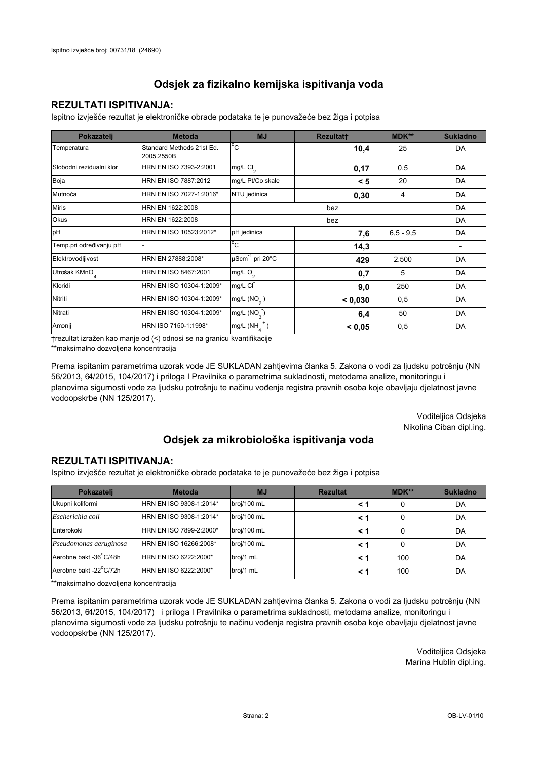## **REZULTATI ISPITIVANJA:**

Ispitno izviešće rezultat je elektroničke obrade podataka te je punovažeće bez žiga i potpisa

| Pokazatelj                | <b>Metoda</b>                           | <b>MJ</b>                        | <b>Rezultatt</b> | <b>MDK**</b>  | <b>Sukladno</b> |
|---------------------------|-----------------------------------------|----------------------------------|------------------|---------------|-----------------|
| Temperatura               | Standard Methods 21st Ed.<br>2005.2550B | $^{\circ}$ C                     | 10,4             | 25            | DA              |
| Slobodni rezidualni klor  | HRN EN ISO 7393-2:2001                  | $mg/L$ Cl <sub>2</sub>           | 0,17             | 0,5           | DA              |
| Boja                      | HRN EN ISO 7887:2012                    | mg/L Pt/Co skale                 | < 5              | 20            | DA              |
| Mutnoća                   | HRN EN ISO 7027-1:2016*                 | NTU jedinica                     | 0,30             | 4             | DA              |
| <b>Miris</b>              | HRN EN 1622:2008                        |                                  |                  | DA            |                 |
| Okus                      | HRN EN 1622:2008                        |                                  | DA               |               |                 |
| pH                        | HRN EN ISO 10523:2012*                  | pH jedinica                      | 7,6              | $6, 5 - 9, 5$ | DA              |
| Temp.pri određivanju pH   |                                         | $^{\circ}$ C                     | 14,3             |               |                 |
| Elektrovodljivost         | HRN EN 27888:2008*                      | $\mu$ Scm <sup>-1</sup> pri 20°C | 429              | 2.500         | DA              |
| Utrošak KMnO <sub>4</sub> | HRN EN ISO 8467:2001                    | mg/L $O_2$                       | 0,7              | 5             | DA              |
| Kloridi                   | HRN EN ISO 10304-1:2009*                | mg/L CI                          | 9,0              | 250           | DA              |
| Nitriti                   | HRN EN ISO 10304-1:2009*                | mg/L (NO <sub>2</sub> )          | < 0.030          | 0,5           | DA              |
| Nitrati                   | HRN EN ISO 10304-1:2009*                | mg/L $(NO_{\alpha})$             | 6,4              | 50            | DA              |
| Amonij                    | HRN ISO 7150-1:1998*                    | mg/L (NH                         | < 0.05           | 0,5           | DA              |

trezultat izražen kao manje od (<) odnosi se na granicu kvantifikacije

\*\*maksimalno dozvoljena koncentracija

Prema ispitanim parametrima uzorak vode JE SUKLADAN zahtjevima članka 5. Zakona o vodi za ljudsku potrošnju (NN 56/2013, 64/2015, 104/2017) i priloga I Pravilnika o parametrima sukladnosti, metodama analize, monitoringu i planovima sigurnosti vode za ljudsku potrošnju te načinu vođenja registra pravnih osoba koje obavljaju djelatnost javne vodoopskrbe (NN 125/2017).

> Voditeljica Odsjeka Nikolina Ciban dipl.ing.

## Odsjek za mikrobiološka ispitivanja voda

### **REZULTATI ISPITIVANJA:**

Ispitno izvješće rezultat je elektroničke obrade podataka te je punovažeće bez žiga i potpisa

| Pokazatelj             | <b>Metoda</b>           | <b>MJ</b>   | <b>Rezultat</b> | MDK** | <b>Sukladno</b> |
|------------------------|-------------------------|-------------|-----------------|-------|-----------------|
| Ukupni koliformi       | HRN EN ISO 9308-1:2014* | broj/100 mL |                 | 0     | DA              |
| Escherichia coli       | HRN EN ISO 9308-1:2014* | broj/100 mL |                 | 0     | DA              |
| Enterokoki             | HRN EN ISO 7899-2:2000* | broj/100 mL |                 | 0     | DA              |
| Pseudomonas aeruginosa | HRN EN ISO 16266:2008*  | broj/100 mL | < 1             | 0     | DA              |
| Aerobne bakt -36 C/48h | HRN EN ISO 6222:2000*   | broj/1 mL   |                 | 100   | DA              |
| Aerobne bakt -22°C/72h | HRN EN ISO 6222:2000*   | broj/1 mL   |                 | 100   | DA              |

\*\*maksimalno dozvoljena koncentracija

Prema ispitanim parametrima uzorak vode JE SUKLADAN zahtjevima članka 5. Zakona o vodi za ljudsku potrošnju (NN 56/2013, 64/2015, 104/2017) i priloga I Pravilnika o parametrima sukladnosti, metodama analize, monitoringu i planovima sigurnosti vode za ljudsku potrošnju te načinu vođenja registra pravnih osoba koje obavljaju djelatnost javne vodoopskrbe (NN 125/2017).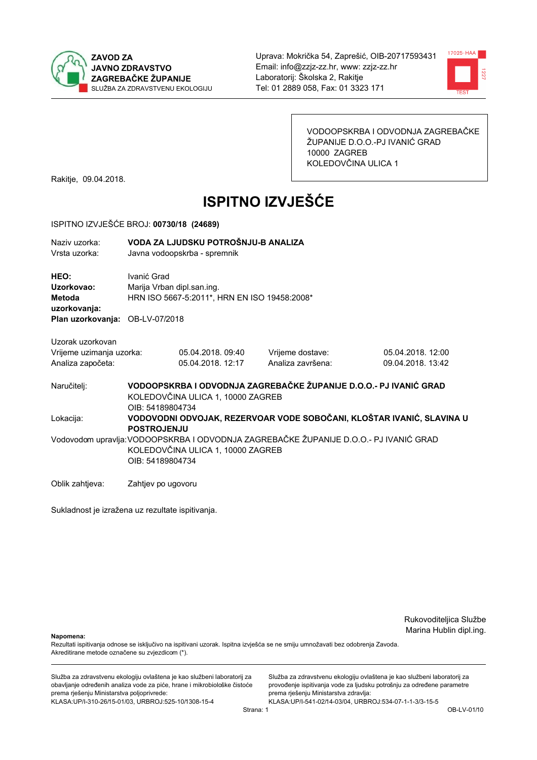



VODOOPSKRBA I ODVODNJA ZAGREBAČKE ŽUPANIJE D.O.O.-PJ IVANIĆ GRAD 10000 ZAGREB KOLEDOVČINA ULICA 1

Rakitje, 09.04.2018.

# **ISPITNO IZVJEŠĆE**

#### ISPITNO IZVJEŠĆE BROJ: 00730/18 (24689)

| Naziv uzorka:<br>Vrsta uzorka:               | VODA ZA LJUDSKU POTROŠNJU-B ANALIZA<br>Javna vodoopskrba - spremnik                       |                                   |                                                                                      |                                                                       |  |
|----------------------------------------------|-------------------------------------------------------------------------------------------|-----------------------------------|--------------------------------------------------------------------------------------|-----------------------------------------------------------------------|--|
| HEO:<br>Uzorkovao:<br>Metoda<br>uzorkovanja: | Ivanić Grad<br>Marija Vrban dipl.san.ing.<br>HRN ISO 5667-5:2011*, HRN EN ISO 19458:2008* |                                   |                                                                                      |                                                                       |  |
| Plan uzorkovanja: OB-LV-07/2018              |                                                                                           |                                   |                                                                                      |                                                                       |  |
| Uzorak uzorkovan                             |                                                                                           |                                   |                                                                                      |                                                                       |  |
| Vrijeme uzimanja uzorka:                     |                                                                                           | 05.04.2018.09:40                  | Vrijeme dostave:                                                                     | 05.04.2018.12:00                                                      |  |
| Analiza započeta:                            |                                                                                           | 05.04.2018. 12:17                 | Analiza završena:                                                                    | 09.04.2018. 13:42                                                     |  |
| Naručitelj:                                  | OIB: 54189804734                                                                          | KOLEDOVČINA ULICA 1, 10000 ZAGREB | VODOOPSKRBA I ODVODNJA ZAGREBAČKE ŽUPANIJE D.O.O.- PJ IVANIĆ GRAD                    |                                                                       |  |
| Lokacija:                                    | <b>POSTROJENJU</b>                                                                        |                                   |                                                                                      | VODOVODNI ODVOJAK, REZERVOAR VODE SOBOČANI, KLOŠTAR IVANIĆ, SLAVINA U |  |
|                                              | OIB: 54189804734                                                                          | KOLEDOVČINA ULICA 1, 10000 ZAGREB | Vodovodom upravlja:VODOOPSKRBA I ODVODNJA ZAGREBAČKE ŽUPANIJE D.O.O.- PJ IVANIĆ GRAD |                                                                       |  |
| Oblik zahtjeva:                              | Zahtjev po ugovoru                                                                        |                                   |                                                                                      |                                                                       |  |

Sukladnost je izražena uz rezultate ispitivanja.

Rukovoditeljica Službe Marina Hublin dipl.ing.

Napomena:

Rezultati ispitivanja odnose se isključivo na ispitivani uzorak. Ispitna izvješća se ne smiju umnožavati bez odobrenja Zavoda. Akreditirane metode označene su zvjezdicom (\*).

Služba za zdravstvenu ekologiju ovlaštena je kao službeni laboratorij za obavljanje određenih analiza vode za piće, hrane i mikrobiološke čistoće prema rješenju Ministarstva poljoprivrede: KLASA.UP/I-310-26/15-01/03, URBROJ:525-10/1308-15-4

Služba za zdravstvenu ekologiju ovlaštena je kao službeni laboratorij za provođenje ispitivanja vode za ljudsku potrošnju za određene parametre prema rješenju Ministarstva zdravlja: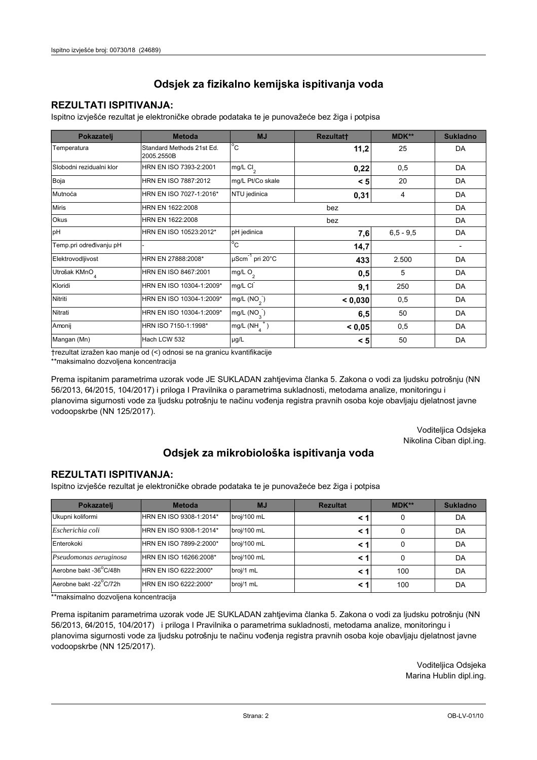## **REZULTATI ISPITIVANJA:**

Ispitno izviešće rezultat je elektroničke obrade podataka te je punovažeće bez žiga i potpisa

| Pokazatelj               | <b>Metoda</b>                           | <b>MJ</b>                  | Rezultat† | <b>MDK**</b>  | <b>Sukladno</b>          |
|--------------------------|-----------------------------------------|----------------------------|-----------|---------------|--------------------------|
| Temperatura              | Standard Methods 21st Ed.<br>2005.2550B | $^{\circ}$ C               | 11,2      | 25            | DA                       |
| Slobodni rezidualni klor | HRN EN ISO 7393-2:2001                  | mg/L $Cl2$                 | 0,22      | 0,5           | DA                       |
| Boja                     | HRN EN ISO 7887:2012                    | mg/L Pt/Co skale           | < 5       | 20            | DA                       |
| Mutnoća                  | HRN EN ISO 7027-1:2016*                 | NTU jedinica               | 0,31      | 4             | DA                       |
| <b>Miris</b>             | HRN EN 1622:2008                        |                            | bez       |               | DA                       |
| Okus                     | HRN EN 1622:2008                        |                            | DA        |               |                          |
| pH                       | HRN EN ISO 10523:2012*                  | pH jedinica                | 7,6       | $6, 5 - 9, 5$ | DA                       |
| Temp.pri određivanju pH  |                                         | $^{\circ}$ C               | 14,7      |               | $\overline{\phantom{a}}$ |
| Elektrovodljivost        | HRN EN 27888:2008*                      | $\mu$ Scm $^{-1}$ pri 20°C | 433       | 2.500         | DA                       |
| Utrošak KMnO             | HRN EN ISO 8467:2001                    | mg/L O <sub>2</sub>        | 0,5       | 5             | DA                       |
| Kloridi                  | HRN EN ISO 10304-1:2009*                | mg/L CI                    | 9,1       | 250           | DA                       |
| Nitriti                  | HRN EN ISO 10304-1:2009*                | mg/L $(NO2)$               | < 0,030   | 0,5           | DA                       |
| Nitrati                  | HRN EN ISO 10304-1:2009*                | mg/L $(NO3)$               | 6, 5      | 50            | DA                       |
| Amonij                   | HRN ISO 7150-1:1998*                    | mg/L $(NH_4^+)$            | < 0.05    | 0,5           | DA                       |
| Mangan (Mn)              | Hach LCW 532                            | µg/L                       | < 5       | 50            | DA                       |

trezultat izražen kao manje od (<) odnosi se na granicu kvantifikacije

\*\*maksimalno dozvoljena koncentracija

Prema ispitanim parametrima uzorak vode JE SUKLADAN zahtjevima članka 5. Zakona o vodi za ljudsku potrošnju (NN 56/2013, 64/2015, 104/2017) i priloga I Pravilnika o parametrima sukladnosti, metodama analize, monitoringu i planovima sigurnosti vode za ljudsku potrošnju te načinu vođenja registra pravnih osoba koje obavljaju djelatnost javne vodoopskrbe (NN 125/2017).

> Voditeljica Odsjeka Nikolina Ciban dipl.ing.

## Odsjek za mikrobiološka ispitivanja voda

## **REZULTATI ISPITIVANJA:**

Ispitno izvješće rezultat je elektroničke obrade podataka te je punovažeće bez žiga i potpisa

| Pokazatelj             | <b>Metoda</b>           | <b>MJ</b>   | <b>Rezultat</b> | MDK** | <b>Sukladno</b> |
|------------------------|-------------------------|-------------|-----------------|-------|-----------------|
| Ukupni koliformi       | HRN EN ISO 9308-1:2014* | broj/100 mL |                 |       | DA              |
| Escherichia coli       | HRN EN ISO 9308-1:2014* | broj/100 mL |                 |       | DA              |
| Enterokoki             | HRN EN ISO 7899-2:2000* | broj/100 mL |                 |       | DA              |
| Pseudomonas aeruginosa | HRN EN ISO 16266:2008*  | broj/100 mL |                 |       | DA              |
| Aerobne bakt -36°C/48h | HRN EN ISO 6222:2000*   | broj/1 mL   |                 | 100   | DA              |
| Aerobne bakt -22°C/72h | HRN EN ISO 6222:2000*   | broj/1 mL   | < 1             | 100   | DA              |

\*\*maksimalno dozvoljena koncentracija

Prema ispitanim parametrima uzorak vode JE SUKLADAN zahtjevima članka 5. Zakona o vodi za ljudsku potrošnju (NN 56/2013, 64/2015, 104/2017) i priloga I Pravilnika o parametrima sukladnosti, metodama analize, monitoringu i planovima sigurnosti vode za ljudsku potrošnju te načinu vođenja registra pravnih osoba koje obavljaju djelatnost javne vodoopskrbe (NN 125/2017).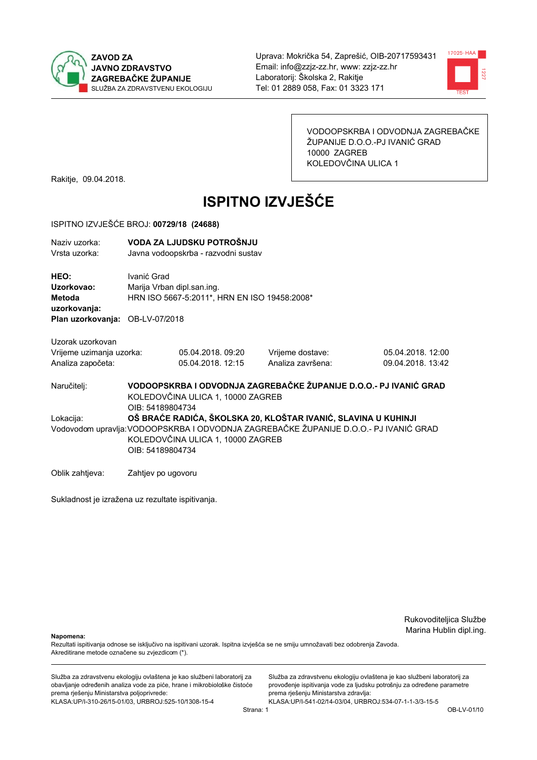



VODOOPSKRBA I ODVODNJA ZAGREBAČKE ŽUPANIJE D.O.O.-PJ IVANIĆ GRAD 10000 ZAGREB KOLEDOVČINA ULICA 1

Rakitje, 09.04.2018.

# **ISPITNO IZVJEŠĆE**

#### ISPITNO IZVJEŠĆE BROJ: 00729/18 (24688)

| Naziv uzorka:<br>Vrsta uzorka:                                                  |                                                                                                                                                                                                                  | VODA ZA LJUDSKU POTROŠNJU<br>Javna vodoopskrba - razvodni sustav |                                       |                                        |  |
|---------------------------------------------------------------------------------|------------------------------------------------------------------------------------------------------------------------------------------------------------------------------------------------------------------|------------------------------------------------------------------|---------------------------------------|----------------------------------------|--|
| HEO:<br>Uzorkovao:<br>Metoda<br>uzorkovanja:<br>Plan uzorkovanja: OB-LV-07/2018 | Ivanić Grad<br>Marija Vrban dipl.san.ing.<br>HRN ISO 5667-5:2011*, HRN EN ISO 19458:2008*                                                                                                                        |                                                                  |                                       |                                        |  |
| Uzorak uzorkovan<br>Vrijeme uzimanja uzorka:<br>Analiza započeta:               |                                                                                                                                                                                                                  | 05.04.2018.09:20<br>05.04.2018. 12:15                            | Vrijeme dostave:<br>Analiza završena: | 05.04.2018. 12:00<br>09.04.2018. 13:42 |  |
| Naručitelj:                                                                     | VODOOPSKRBA I ODVODNJA ZAGREBAČKE ŽUPANIJE D.O.O.- PJ IVANIĆ GRAD<br>KOLEDOVČINA ULICA 1, 10000 ZAGREB<br>OIB: 54189804734                                                                                       |                                                                  |                                       |                                        |  |
| Lokacija:                                                                       | OŠ BRAĆE RADIĆA, ŠKOLSKA 20, KLOŠTAR IVANIĆ, SLAVINA U KUHINJI<br>Vodovodom upravlja: VODOOPSKRBA I ODVODNJA ZAGREBAČKE ŽUPANIJE D.O.O.- PJ IVANIĆ GRAD<br>KOLEDOVČINA ULICA 1, 10000 ZAGREB<br>OIB: 54189804734 |                                                                  |                                       |                                        |  |
| Oblik zahtjeva:                                                                 | Zahtjev po ugovoru                                                                                                                                                                                               |                                                                  |                                       |                                        |  |

Sukladnost je izražena uz rezultate ispitivanja.

Rukovoditeljica Službe Marina Hublin dipl.ing.

Napomena:

Rezultati ispitivanja odnose se isključivo na ispitivani uzorak. Ispitna izvješća se ne smiju umnožavati bez odobrenja Zavoda. Akreditirane metode označene su zvjezdicom (\*).

Služba za zdravstvenu ekologiju ovlaštena je kao službeni laboratorij za obavljanje određenih analiza vode za piće, hrane i mikrobiološke čistoće prema rješenju Ministarstva poljoprivrede: KLASA.UP/I-310-26/15-01/03, URBROJ:525-10/1308-15-4

Služba za zdravstvenu ekologiju ovlaštena je kao službeni laboratorij za provođenje ispitivanja vode za ljudsku potrošnju za određene parametre prema rješenju Ministarstva zdravlja: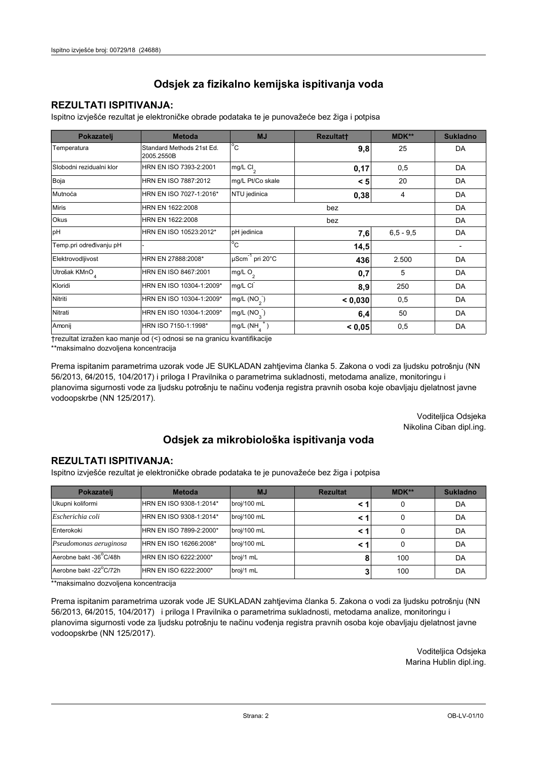## **REZULTATI ISPITIVANJA:**

Ispitno izviešće rezultat je elektroničke obrade podataka te je punovažeće bez žiga i potpisa

| Pokazatelj                | <b>Metoda</b>                           | <b>MJ</b>                   | Rezultatt | <b>MDK**</b>  | <b>Sukladno</b> |
|---------------------------|-----------------------------------------|-----------------------------|-----------|---------------|-----------------|
| Temperatura               | Standard Methods 21st Ed.<br>2005.2550B | $^{\circ}$ C                | 9,8       | 25            | DA              |
| Slobodni rezidualni klor  | HRN EN ISO 7393-2:2001                  | $mg/L$ Cl <sub>2</sub>      | 0,17      | 0,5           | DA              |
| Boja                      | HRN EN ISO 7887:2012                    | mg/L Pt/Co skale            | < 5       | 20            | DA              |
| Mutnoća                   | HRN EN ISO 7027-1:2016*                 | NTU jedinica                | 0,38      | 4             | DA              |
| <b>Miris</b>              | HRN EN 1622:2008                        |                             |           | DA            |                 |
| Okus                      | HRN EN 1622:2008                        |                             | DA        |               |                 |
| pH                        | HRN EN ISO 10523:2012*                  | pH jedinica                 | 7,6       | $6, 5 - 9, 5$ | DA              |
| Temp.pri određivanju pH   |                                         | $^{\circ}$ C                | 14,5      |               |                 |
| Elektrovodljivost         | HRN EN 27888:2008*                      | µScm <sup>-1</sup> pri 20°C | 436       | 2.500         | DA              |
| Utrošak KMnO <sub>4</sub> | HRN EN ISO 8467:2001                    | mg/L $O_2$                  | 0,7       | 5             | DA              |
| Kloridi                   | HRN EN ISO 10304-1:2009*                | mg/L CI                     | 8,9       | 250           | DA              |
| Nitriti                   | HRN EN ISO 10304-1:2009*                | mg/L (NO <sub>2</sub> )     | < 0.030   | 0,5           | DA              |
| Nitrati                   | HRN EN ISO 10304-1:2009*                | mg/L $(NO_{\alpha})$        | 6,4       | 50            | DA              |
| Amonij                    | HRN ISO 7150-1:1998*                    | mg/L (NH                    | < 0.05    | 0,5           | DA              |

trezultat izražen kao manje od (<) odnosi se na granicu kvantifikacije

\*\*maksimalno dozvoljena koncentracija

Prema ispitanim parametrima uzorak vode JE SUKLADAN zahtjevima članka 5. Zakona o vodi za ljudsku potrošnju (NN 56/2013, 64/2015, 104/2017) i priloga I Pravilnika o parametrima sukladnosti, metodama analize, monitoringu i planovima sigurnosti vode za ljudsku potrošnju te načinu vođenja registra pravnih osoba koje obavljaju djelatnost javne vodoopskrbe (NN 125/2017).

> Voditeljica Odsjeka Nikolina Ciban dipl.ing.

## Odsjek za mikrobiološka ispitivanja voda

### **REZULTATI ISPITIVANJA:**

Ispitno izvješće rezultat je elektroničke obrade podataka te je punovažeće bez žiga i potpisa

| Pokazatelj             | <b>Metoda</b>           | <b>MJ</b>   | <b>Rezultat</b> | MDK** | <b>Sukladno</b> |
|------------------------|-------------------------|-------------|-----------------|-------|-----------------|
| Ukupni koliformi       | HRN EN ISO 9308-1:2014* | broj/100 mL |                 |       | DA              |
| Escherichia coli       | HRN EN ISO 9308-1:2014* | broj/100 mL | < 1             |       | DA              |
| Enterokoki             | HRN EN ISO 7899-2:2000* | broj/100 mL | < '             |       | DA              |
| Pseudomonas aeruginosa | HRN EN ISO 16266:2008*  | broj/100 mL | < 1             | 0     | DA              |
| Aerobne bakt -36 C/48h | HRN EN ISO 6222:2000*   | broj/1 mL   |                 | 100   | DA              |
| Aerobne bakt -22°C/72h | HRN EN ISO 6222:2000*   | broj/1 mL   |                 | 100   | DA              |

\*\*maksimalno dozvoljena koncentracija

Prema ispitanim parametrima uzorak vode JE SUKLADAN zahtjevima članka 5. Zakona o vodi za ljudsku potrošnju (NN 56/2013, 64/2015, 104/2017) i priloga I Pravilnika o parametrima sukladnosti, metodama analize, monitoringu i planovima sigurnosti vode za ljudsku potrošnju te načinu vođenja registra pravnih osoba koje obavljaju djelatnost javne vodoopskrbe (NN 125/2017).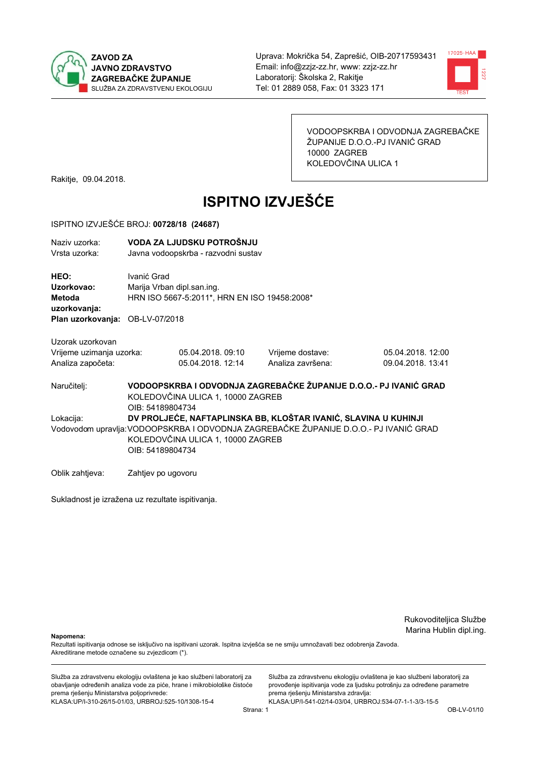



VODOOPSKRBA I ODVODNJA ZAGREBAČKE ŽUPANIJE D.O.O.-PJ IVANIĆ GRAD 10000 ZAGREB KOLEDOVČINA ULICA 1

Rakitje, 09.04.2018.

# **ISPITNO IZVJEŠĆE**

#### ISPITNO IZVJEŠĆE BROJ: 00728/18 (24687)

| Naziv uzorka:<br>Vrsta uzorka:                                                  |                                                                                                                                                                                                                   | VODA ZA LJUDSKU POTROŠNJU<br>Javna vodoopskrba - razvodni sustav |                                                                   |                                        |
|---------------------------------------------------------------------------------|-------------------------------------------------------------------------------------------------------------------------------------------------------------------------------------------------------------------|------------------------------------------------------------------|-------------------------------------------------------------------|----------------------------------------|
| HEO:<br>Uzorkovao:<br>Metoda<br>uzorkovanja:<br>Plan uzorkovanja: OB-LV-07/2018 | Ivanić Grad<br>Marija Vrban dipl.san.ing.<br>HRN ISO 5667-5:2011*, HRN EN ISO 19458:2008*                                                                                                                         |                                                                  |                                                                   |                                        |
| Uzorak uzorkovan<br>Vrijeme uzimanja uzorka:<br>Analiza započeta:               |                                                                                                                                                                                                                   | 05.04.2018, 09:10<br>05.04.2018. 12:14                           | Vrijeme dostave:<br>Analiza završena:                             | 05.04.2018. 12:00<br>09.04.2018. 13:41 |
| Naručitelj:                                                                     | OIB: 54189804734                                                                                                                                                                                                  | KOLEDOVČINA ULICA 1, 10000 ZAGREB                                | VODOOPSKRBA I ODVODNJA ZAGREBAČKE ŽUPANIJE D.O.O.- PJ IVANIĆ GRAD |                                        |
| Lokacija:                                                                       | DV PROLJEĆE, NAFTAPLINSKA BB, KLOŠTAR IVANIĆ, SLAVINA U KUHINJI<br>Vodovodom upravlja: VODOOPSKRBA I ODVODNJA ZAGREBAČKE ŽUPANIJE D.O.O.- PJ IVANIĆ GRAD<br>KOLEDOVČINA ULICA 1, 10000 ZAGREB<br>OIB: 54189804734 |                                                                  |                                                                   |                                        |
| Oblik zahtjeva:                                                                 | Zahtjev po ugovoru                                                                                                                                                                                                |                                                                  |                                                                   |                                        |

Sukladnost je izražena uz rezultate ispitivanja.

Rukovoditeljica Službe Marina Hublin dipl.ing.

Napomena:

Rezultati ispitivanja odnose se isključivo na ispitivani uzorak. Ispitna izvješća se ne smiju umnožavati bez odobrenja Zavoda. Akreditirane metode označene su zvjezdicom (\*).

Služba za zdravstvenu ekologiju ovlaštena je kao službeni laboratorij za obavljanje određenih analiza vode za piće, hrane i mikrobiološke čistoće prema rješenju Ministarstva poljoprivrede: KLASA.UP/I-310-26/15-01/03, URBROJ:525-10/1308-15-4

Služba za zdravstvenu ekologiju ovlaštena je kao službeni laboratorij za provođenje ispitivanja vode za ljudsku potrošnju za određene parametre prema rješenju Ministarstva zdravlja: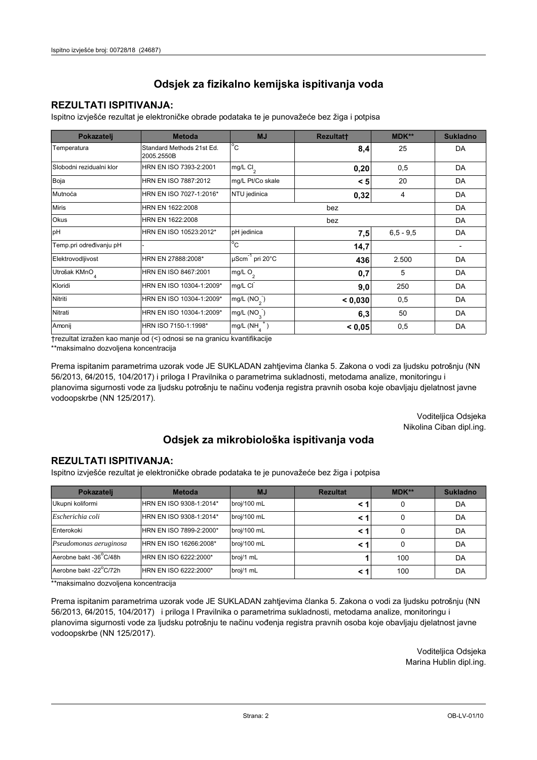## **REZULTATI ISPITIVANJA:**

Ispitno izviešće rezultat je elektroničke obrade podataka te je punovažeće bez žiga i potpisa

| Pokazatelj                | <b>Metoda</b>                           | <b>MJ</b>                   | Rezultatt | <b>MDK**</b>  | <b>Sukladno</b> |
|---------------------------|-----------------------------------------|-----------------------------|-----------|---------------|-----------------|
| Temperatura               | Standard Methods 21st Ed.<br>2005.2550B | $^{\circ}$ C                | 8,4       | 25            | DA              |
| Slobodni rezidualni klor  | HRN EN ISO 7393-2:2001                  | $mg/L$ Cl <sub>2</sub>      | 0,20      | 0,5           | DA              |
| Boja                      | HRN EN ISO 7887:2012                    | mg/L Pt/Co skale            | < 5       | 20            | DA              |
| Mutnoća                   | HRN EN ISO 7027-1:2016*                 | NTU jedinica                | 0,32      | 4             | DA              |
| <b>Miris</b>              | HRN EN 1622:2008                        |                             |           | DA            |                 |
| Okus                      | HRN EN 1622:2008                        | bez                         |           |               | DA              |
| pH                        | HRN EN ISO 10523:2012*                  | pH jedinica                 | 7,5       | $6, 5 - 9, 5$ | DA              |
| Temp.pri određivanju pH   |                                         | $^{\circ}$ C                | 14,7      |               |                 |
| Elektrovodljivost         | HRN EN 27888:2008*                      | µScm <sup>-1</sup> pri 20°C | 436       | 2.500         | DA              |
| Utrošak KMnO <sub>4</sub> | HRN EN ISO 8467:2001                    | mg/L $O_2$                  | 0,7       | 5             | DA              |
| Kloridi                   | HRN EN ISO 10304-1:2009*                | mg/L CI                     | 9,0       | 250           | DA              |
| Nitriti                   | HRN EN ISO 10304-1:2009*                | mg/L (NO <sub>2</sub> )     | < 0.030   | 0,5           | DA              |
| Nitrati                   | HRN EN ISO 10304-1:2009*                | mg/L $(NO_{\alpha})$        | 6,3       | 50            | DA              |
| Amonij                    | HRN ISO 7150-1:1998*                    | mg/L (NH                    | < 0.05    | 0,5           | DA              |

trezultat izražen kao manje od (<) odnosi se na granicu kvantifikacije

\*\*maksimalno dozvoljena koncentracija

Prema ispitanim parametrima uzorak vode JE SUKLADAN zahtjevima članka 5. Zakona o vodi za ljudsku potrošnju (NN 56/2013, 64/2015, 104/2017) i priloga I Pravilnika o parametrima sukladnosti, metodama analize, monitoringu i planovima sigurnosti vode za ljudsku potrošnju te načinu vođenja registra pravnih osoba koje obavljaju djelatnost javne vodoopskrbe (NN 125/2017).

> Voditeljica Odsjeka Nikolina Ciban dipl.ing.

## Odsjek za mikrobiološka ispitivanja voda

### **REZULTATI ISPITIVANJA:**

Ispitno izvješće rezultat je elektroničke obrade podataka te je punovažeće bez žiga i potpisa

| Pokazatelj             | <b>Metoda</b>           | <b>MJ</b>   | <b>Rezultat</b> | MDK** | <b>Sukladno</b> |
|------------------------|-------------------------|-------------|-----------------|-------|-----------------|
| Ukupni koliformi       | HRN EN ISO 9308-1:2014* | broj/100 mL |                 |       | DA              |
| Escherichia coli       | HRN EN ISO 9308-1:2014* | broj/100 mL | < 1             |       | DA              |
| Enterokoki             | HRN EN ISO 7899-2:2000* | broj/100 mL | < '             |       | DA              |
| Pseudomonas aeruginosa | HRN EN ISO 16266:2008*  | broj/100 mL | < 1             | 0     | DA              |
| Aerobne bakt -36 C/48h | HRN EN ISO 6222:2000*   | broj/1 mL   |                 | 100   | DA              |
| Aerobne bakt -22°C/72h | HRN EN ISO 6222:2000*   | broj/1 mL   | < '             | 100   | DA              |

\*\*maksimalno dozvoljena koncentracija

Prema ispitanim parametrima uzorak vode JE SUKLADAN zahtjevima članka 5. Zakona o vodi za ljudsku potrošnju (NN 56/2013, 64/2015, 104/2017) i priloga I Pravilnika o parametrima sukladnosti, metodama analize, monitoringu i planovima sigurnosti vode za ljudsku potrošnju te načinu vođenja registra pravnih osoba koje obavljaju djelatnost javne vodoopskrbe (NN 125/2017).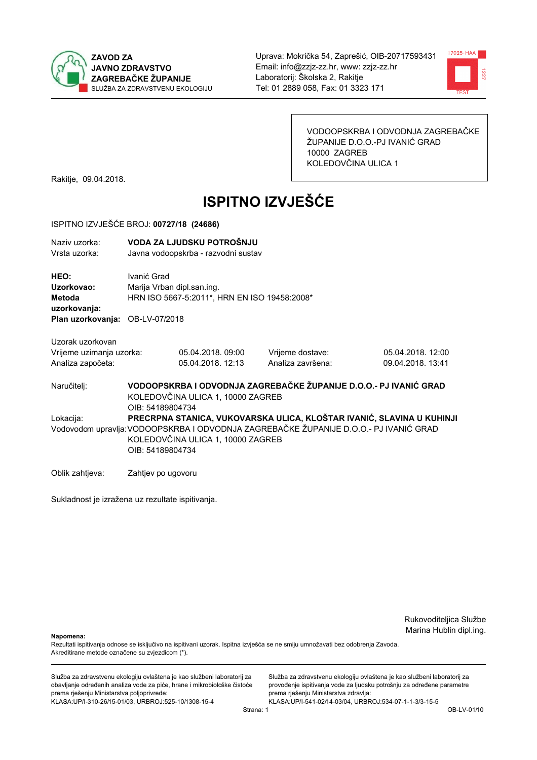



VODOOPSKRBA I ODVODNJA ZAGREBAČKE ŽUPANIJE D.O.O.-PJ IVANIĆ GRAD 10000 ZAGREB KOLEDOVČINA ULICA 1

Rakitje, 09.04.2018.

# **ISPITNO IZVJEŠĆE**

#### ISPITNO IZVJEŠĆE BROJ: 00727/18 (24686)

| Naziv uzorka:<br>Vrsta uzorka:                                           |                                                                                                                                                                                                                         | VODA ZA LJUDSKU POTROŠNJU<br>Javna vodoopskrba - razvodni sustav                            |                                       |                                        |  |
|--------------------------------------------------------------------------|-------------------------------------------------------------------------------------------------------------------------------------------------------------------------------------------------------------------------|---------------------------------------------------------------------------------------------|---------------------------------------|----------------------------------------|--|
| HEO:<br>Uzorkovao:<br><b>Metoda</b><br>uzorkovanja:<br>Plan uzorkovanja: | Ivanić Grad                                                                                                                                                                                                             | Marija Vrban dipl.san.ing.<br>HRN ISO 5667-5:2011*, HRN EN ISO 19458:2008*<br>OB-LV-07/2018 |                                       |                                        |  |
| Uzorak uzorkovan                                                         |                                                                                                                                                                                                                         |                                                                                             |                                       |                                        |  |
| Vrijeme uzimanja uzorka:<br>Analiza započeta:                            |                                                                                                                                                                                                                         | 05.04.2018.09:00<br>05.04.2018. 12:13                                                       | Vrijeme dostave:<br>Analiza završena: | 05.04.2018. 12:00<br>09.04.2018. 13:41 |  |
| Naručitelj:                                                              | VODOOPSKRBA I ODVODNJA ZAGREBAČKE ŽUPANIJE D.O.O.- PJ IVANIĆ GRAD<br>KOLEDOVČINA ULICA 1, 10000 ZAGREB<br>OIB: 54189804734                                                                                              |                                                                                             |                                       |                                        |  |
| Lokacija:                                                                | PRECRPNA STANICA, VUKOVARSKA ULICA, KLOŠTAR IVANIĆ, SLAVINA U KUHINJI<br>Vodovodom upravlja: VODOOPSKRBA I ODVODNJA ZAGREBAČKE ŽUPANIJE D.O.O.- PJ IVANIĆ GRAD<br>KOLEDOVČINA ULICA 1, 10000 ZAGREB<br>OIB: 54189804734 |                                                                                             |                                       |                                        |  |
| Oblik zahtjeva:                                                          | Zahtjev po ugovoru                                                                                                                                                                                                      |                                                                                             |                                       |                                        |  |

Sukladnost je izražena uz rezultate ispitivanja.

Rukovoditeljica Službe Marina Hublin dipl.ing.

Napomena:

Rezultati ispitivanja odnose se isključivo na ispitivani uzorak. Ispitna izvješća se ne smiju umnožavati bez odobrenja Zavoda. Akreditirane metode označene su zvjezdicom (\*).

Služba za zdravstvenu ekologiju ovlaštena je kao službeni laboratorij za obavljanje određenih analiza vode za piće, hrane i mikrobiološke čistoće prema rješenju Ministarstva poljoprivrede: KLASA.UP/I-310-26/15-01/03, URBROJ:525-10/1308-15-4

Služba za zdravstvenu ekologiju ovlaštena je kao službeni laboratorij za provođenje ispitivanja vode za ljudsku potrošnju za određene parametre prema rješenju Ministarstva zdravlja: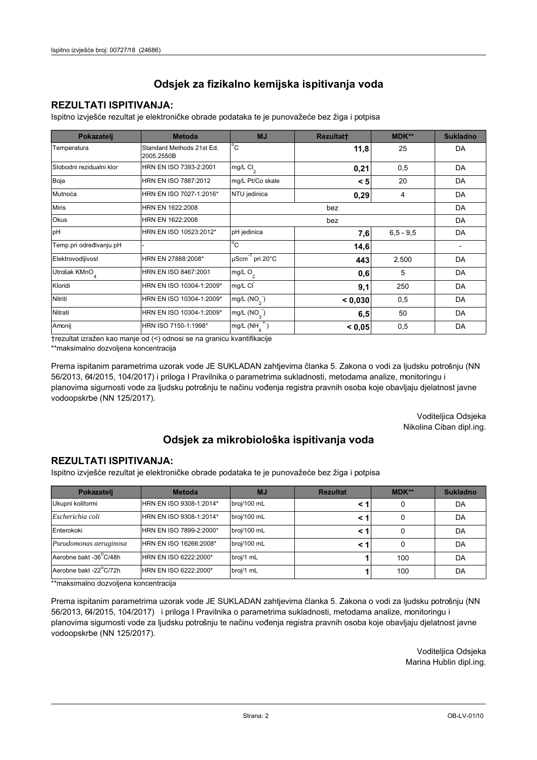## **REZULTATI ISPITIVANJA:**

Ispitno izviešće rezultat je elektroničke obrade podataka te je punovažeće bez žiga i potpisa

| Pokazatelj                | <b>Metoda</b>                           | <b>MJ</b>                   | <b>Rezultatt</b> | <b>MDK**</b>  | <b>Sukladno</b> |
|---------------------------|-----------------------------------------|-----------------------------|------------------|---------------|-----------------|
| Temperatura               | Standard Methods 21st Ed.<br>2005.2550B | $^{\circ}$ C                | 11,8             | 25            | DA              |
| Slobodni rezidualni klor  | HRN EN ISO 7393-2:2001                  | $mg/L$ Cl <sub>2</sub>      | 0,21             | 0,5           | DA              |
| Boja                      | HRN EN ISO 7887:2012                    | mg/L Pt/Co skale            | < 5              | 20            | DA              |
| Mutnoća                   | HRN EN ISO 7027-1:2016*                 | NTU jedinica                | 0,29             | 4             | DA              |
| <b>Miris</b>              | HRN EN 1622:2008                        |                             | DA               |               |                 |
| Okus                      | HRN EN 1622:2008                        |                             | DA               |               |                 |
| pH                        | HRN EN ISO 10523:2012*                  | pH jedinica                 | 7,6              | $6, 5 - 9, 5$ | DA              |
| Temp.pri određivanju pH   |                                         | $^{\circ}$ C                | 14,6             |               |                 |
| Elektrovodljivost         | HRN EN 27888:2008*                      | µScm <sup>-1</sup> pri 20°C | 443              | 2.500         | DA              |
| Utrošak KMnO <sub>4</sub> | HRN EN ISO 8467:2001                    | mg/L O <sub>2</sub>         | 0,6              | 5             | DA              |
| Kloridi                   | HRN EN ISO 10304-1:2009*                | mg/L CI                     | 9,1              | 250           | DA              |
| Nitriti                   | HRN EN ISO 10304-1:2009*                | mg/L $(NO2)$                | < 0,030          | 0,5           | DA              |
| Nitrati                   | HRN EN ISO 10304-1:2009*                | mg/L (NO <sub>3</sub> )     | 6,5              | 50            | DA              |
| Amonij                    | HRN ISO 7150-1:1998*                    | mg/L (NH                    | < 0.05           | 0,5           | DA              |

trezultat izražen kao manje od (<) odnosi se na granicu kvantifikacije

\*\*maksimalno dozvoljena koncentracija

Prema ispitanim parametrima uzorak vode JE SUKLADAN zahtjevima članka 5. Zakona o vodi za ljudsku potrošnju (NN 56/2013, 64/2015, 104/2017) i priloga I Pravilnika o parametrima sukladnosti, metodama analize, monitoringu i planovima sigurnosti vode za ljudsku potrošnju te načinu vođenja registra pravnih osoba koje obavljaju djelatnost javne vodoopskrbe (NN 125/2017).

> Voditeljica Odsjeka Nikolina Ciban dipl.ing.

## Odsjek za mikrobiološka ispitivanja voda

### **REZULTATI ISPITIVANJA:**

Ispitno izvješće rezultat je elektroničke obrade podataka te je punovažeće bez žiga i potpisa

| Pokazatelj             | <b>Metoda</b>           | <b>MJ</b>   | <b>Rezultat</b> | MDK** | <b>Sukladno</b> |
|------------------------|-------------------------|-------------|-----------------|-------|-----------------|
| Ukupni koliformi       | HRN EN ISO 9308-1:2014* | broj/100 mL |                 |       | DA              |
| Escherichia coli       | HRN EN ISO 9308-1:2014* | broj/100 mL | < 1             |       | DA              |
| Enterokoki             | HRN EN ISO 7899-2:2000* | broj/100 mL | < '             |       | DA              |
| Pseudomonas aeruginosa | HRN EN ISO 16266:2008*  | broj/100 mL | < 1             | 0     | DA              |
| Aerobne bakt -36 C/48h | HRN EN ISO 6222:2000*   | broj/1 mL   |                 | 100   | DA              |
| Aerobne bakt -22°C/72h | HRN EN ISO 6222:2000*   | broj/1 mL   |                 | 100   | DA              |

\*\*maksimalno dozvoljena koncentracija

Prema ispitanim parametrima uzorak vode JE SUKLADAN zahtjevima članka 5. Zakona o vodi za ljudsku potrošnju (NN 56/2013, 64/2015, 104/2017) i priloga I Pravilnika o parametrima sukladnosti, metodama analize, monitoringu i planovima sigurnosti vode za ljudsku potrošnju te načinu vođenja registra pravnih osoba koje obavljaju djelatnost javne vodoopskrbe (NN 125/2017).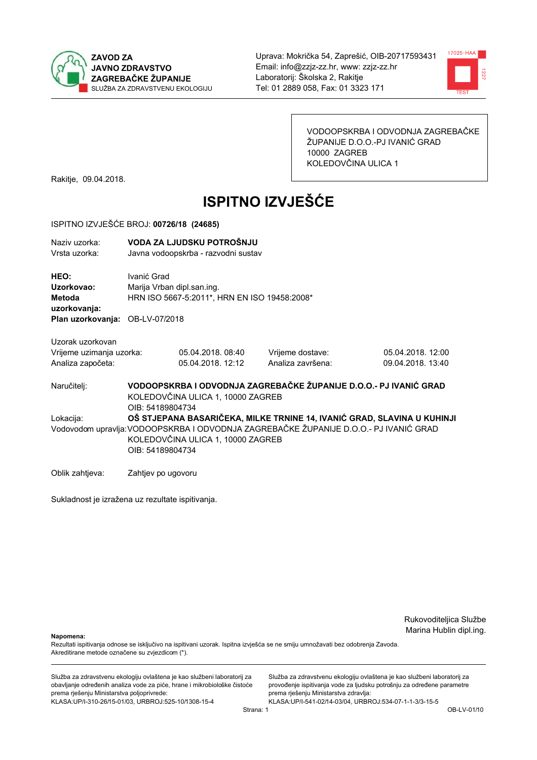



VODOOPSKRBA I ODVODNJA ZAGREBAČKE ŽUPANIJE D.O.O.-PJ IVANIĆ GRAD 10000 ZAGREB KOLEDOVČINA ULICA 1

Rakitje, 09.04.2018.

# **ISPITNO IZVJEŠĆE**

#### ISPITNO IZVJEŠĆE BROJ: 00726/18 (24685)

| Naziv uzorka:<br>Vrsta uzorka:                                           |                                                                                                                                                                                                                           | VODA ZA LJUDSKU POTROŠNJU<br>Javna vodoopskrba - razvodni sustav           |                                       |                                       |  |
|--------------------------------------------------------------------------|---------------------------------------------------------------------------------------------------------------------------------------------------------------------------------------------------------------------------|----------------------------------------------------------------------------|---------------------------------------|---------------------------------------|--|
| HEO:<br>Uzorkovao:<br><b>Metoda</b><br>uzorkovanja:<br>Plan uzorkovanja: | Ivanić Grad<br>OB-LV-07/2018                                                                                                                                                                                              | Marija Vrban dipl.san.ing.<br>HRN ISO 5667-5:2011*, HRN EN ISO 19458:2008* |                                       |                                       |  |
|                                                                          |                                                                                                                                                                                                                           |                                                                            |                                       |                                       |  |
| Uzorak uzorkovan<br>Vrijeme uzimanja uzorka:<br>Analiza započeta:        |                                                                                                                                                                                                                           | 05.04.2018.08:40<br>05.04.2018. 12:12                                      | Vrijeme dostave:<br>Analiza završena: | 05.04.2018.12:00<br>09.04.2018. 13:40 |  |
| Naručitelj:                                                              | VODOOPSKRBA I ODVODNJA ZAGREBAČKE ŽUPANIJE D.O.O.- PJ IVANIĆ GRAD<br>KOLEDOVČINA ULICA 1, 10000 ZAGREB<br>OIB: 54189804734                                                                                                |                                                                            |                                       |                                       |  |
| Lokacija:                                                                | OŠ STJEPANA BASARIČEKA, MILKE TRNINE 14, IVANIĆ GRAD, SLAVINA U KUHINJI<br>Vodovodom upravlja: VODOOPSKRBA I ODVODNJA ZAGREBAČKE ŽUPANIJE D.O.O.- PJ IVANIĆ GRAD<br>KOLEDOVČINA ULICA 1, 10000 ZAGREB<br>OIB: 54189804734 |                                                                            |                                       |                                       |  |
| Oblik zahtjeva:                                                          | Zahtjev po ugovoru                                                                                                                                                                                                        |                                                                            |                                       |                                       |  |

Sukladnost je izražena uz rezultate ispitivanja.

Rukovoditeljica Službe Marina Hublin dipl.ing.

Napomena:

Rezultati ispitivanja odnose se isključivo na ispitivani uzorak. Ispitna izvješća se ne smiju umnožavati bez odobrenja Zavoda. Akreditirane metode označene su zvjezdicom (\*).

Služba za zdravstvenu ekologiju ovlaštena je kao službeni laboratorij za obavljanje određenih analiza vode za piće, hrane i mikrobiološke čistoće prema rješenju Ministarstva poljoprivrede: KLASA.UP/I-310-26/15-01/03, URBROJ:525-10/1308-15-4

Služba za zdravstvenu ekologiju ovlaštena je kao službeni laboratorij za provođenje ispitivanja vode za ljudsku potrošnju za određene parametre prema rješenju Ministarstva zdravlja: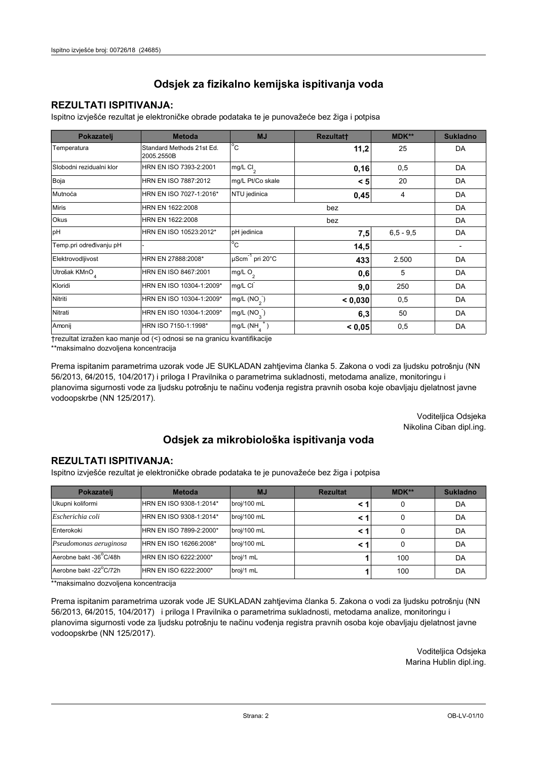## **REZULTATI ISPITIVANJA:**

Ispitno izviešće rezultat je elektroničke obrade podataka te je punovažeće bez žiga i potpisa

| Pokazatelj                | <b>Metoda</b>                           | <b>MJ</b>                   | <b>Rezultatt</b> | <b>MDK**</b>  | <b>Sukladno</b> |
|---------------------------|-----------------------------------------|-----------------------------|------------------|---------------|-----------------|
| Temperatura               | Standard Methods 21st Ed.<br>2005.2550B | $^{\circ}$ C                | 11,2             | 25            | DA              |
| Slobodni rezidualni klor  | HRN EN ISO 7393-2:2001                  | mg/L $Cl2$                  | 0,16             | 0,5           | DA              |
| Boja                      | HRN EN ISO 7887:2012                    | mg/L Pt/Co skale            | < 5              | 20            | DA              |
| Mutnoća                   | HRN EN ISO 7027-1:2016*                 | NTU jedinica                | 0,45             | 4             | DA              |
| <b>Miris</b>              | HRN EN 1622:2008                        |                             | DA               |               |                 |
| Okus                      | HRN EN 1622:2008                        | bez                         |                  |               | DA              |
| pH                        | HRN EN ISO 10523:2012*                  | pH jedinica                 | 7,5              | $6, 5 - 9, 5$ | DA              |
| Temp.pri određivanju pH   |                                         | $^{\circ}$ C                | 14,5             |               |                 |
| Elektrovodljivost         | HRN EN 27888:2008*                      | µScm <sup>-1</sup> pri 20°C | 433              | 2.500         | DA              |
| Utrošak KMnO <sub>4</sub> | HRN EN ISO 8467:2001                    | mg/L $O_2$                  | 0,6              | 5             | DA              |
| Kloridi                   | HRN EN ISO 10304-1:2009*                | mg/L CI                     | 9,0              | 250           | DA              |
| Nitriti                   | HRN EN ISO 10304-1:2009*                | mg/L $(NO2)$                | < 0,030          | 0,5           | DA              |
| Nitrati                   | HRN EN ISO 10304-1:2009*                | mg/L $(NO_{3})$             | 6,3              | 50            | DA              |
| Amonij                    | HRN ISO 7150-1:1998*                    | mg/L (NH                    | < 0.05           | 0,5           | DA              |

trezultat izražen kao manje od (<) odnosi se na granicu kvantifikacije

\*\*maksimalno dozvoljena koncentracija

Prema ispitanim parametrima uzorak vode JE SUKLADAN zahtjevima članka 5. Zakona o vodi za ljudsku potrošnju (NN 56/2013, 64/2015, 104/2017) i priloga I Pravilnika o parametrima sukladnosti, metodama analize, monitoringu i planovima sigurnosti vode za ljudsku potrošnju te načinu vođenja registra pravnih osoba koje obavljaju djelatnost javne vodoopskrbe (NN 125/2017).

> Voditeljica Odsjeka Nikolina Ciban dipl.ing.

## Odsjek za mikrobiološka ispitivanja voda

### **REZULTATI ISPITIVANJA:**

Ispitno izvješće rezultat je elektroničke obrade podataka te je punovažeće bez žiga i potpisa

| Pokazatelj             | <b>Metoda</b>           | <b>MJ</b>   | <b>Rezultat</b> | MDK** | <b>Sukladno</b> |
|------------------------|-------------------------|-------------|-----------------|-------|-----------------|
| Ukupni koliformi       | HRN EN ISO 9308-1:2014* | broj/100 mL |                 |       | DA              |
| Escherichia coli       | HRN EN ISO 9308-1:2014* | broj/100 mL | < 1             |       | DA              |
| Enterokoki             | HRN EN ISO 7899-2:2000* | broj/100 mL | < '             |       | DA              |
| Pseudomonas aeruginosa | HRN EN ISO 16266:2008*  | broj/100 mL | < 1             | 0     | DA              |
| Aerobne bakt -36 C/48h | HRN EN ISO 6222:2000*   | broj/1 mL   |                 | 100   | DA              |
| Aerobne bakt -22°C/72h | HRN EN ISO 6222:2000*   | broj/1 mL   |                 | 100   | DA              |

\*\*maksimalno dozvoljena koncentracija

Prema ispitanim parametrima uzorak vode JE SUKLADAN zahtjevima članka 5. Zakona o vodi za ljudsku potrošnju (NN 56/2013, 64/2015, 104/2017) i priloga I Pravilnika o parametrima sukladnosti, metodama analize, monitoringu i planovima sigurnosti vode za ljudsku potrošnju te načinu vođenja registra pravnih osoba koje obavljaju djelatnost javne vodoopskrbe (NN 125/2017).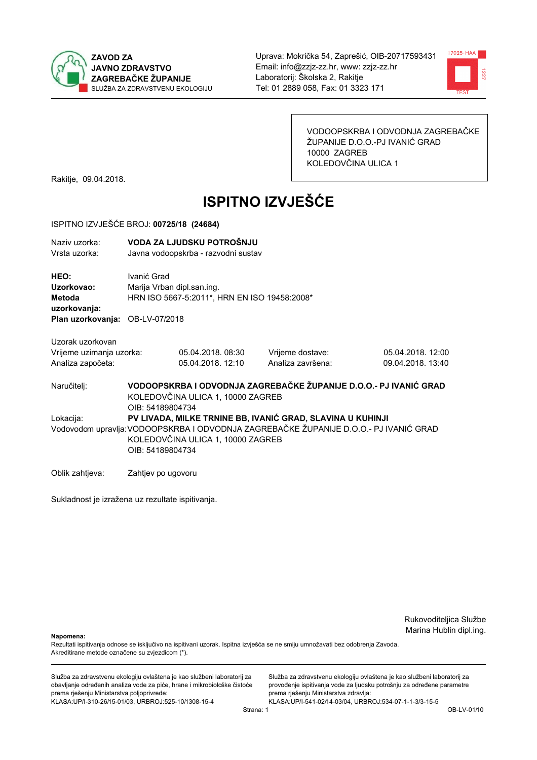



VODOOPSKRBA I ODVODNJA ZAGREBAČKE ŽUPANIJE D.O.O.-PJ IVANIĆ GRAD 10000 ZAGREB KOLEDOVČINA ULICA 1

Rakitje, 09.04.2018.

# **ISPITNO IZVJEŠĆE**

#### ISPITNO IZVJEŠĆE BROJ: 00725/18 (24684)

| Naziv uzorka:<br>Vrsta uzorka:                                                                                                                                                                                            | VODA ZA LJUDSKU POTROŠNJU<br>Javna vodoopskrba - razvodni sustav                                                           |                                       |                                       |                                        |  |
|---------------------------------------------------------------------------------------------------------------------------------------------------------------------------------------------------------------------------|----------------------------------------------------------------------------------------------------------------------------|---------------------------------------|---------------------------------------|----------------------------------------|--|
| HEO:<br>Uzorkovao:<br>Metoda<br>uzorkovanja:<br>Plan uzorkovanja:                                                                                                                                                         | Ivanić Grad<br>Marija Vrban dipl.san.ing.<br>HRN ISO 5667-5:2011*, HRN EN ISO 19458:2008*<br>OB-LV-07/2018                 |                                       |                                       |                                        |  |
| Uzorak uzorkovan<br>Vrijeme uzimanja uzorka:<br>Analiza započeta:                                                                                                                                                         |                                                                                                                            | 05.04.2018.08:30<br>05.04.2018. 12:10 | Vrijeme dostave:<br>Analiza završena: | 05.04.2018. 12:00<br>09.04.2018. 13:40 |  |
| Naručitelj:                                                                                                                                                                                                               | VODOOPSKRBA I ODVODNJA ZAGREBAČKE ŽUPANIJE D.O.O.- PJ IVANIĆ GRAD<br>KOLEDOVČINA ULICA 1, 10000 ZAGREB<br>OIB: 54189804734 |                                       |                                       |                                        |  |
| PV LIVADA, MILKE TRNINE BB, IVANIĆ GRAD, SLAVINA U KUHINJI<br>Lokacija:<br>Vodovodom upravlja: VODOOPSKRBA I ODVODNJA ZAGREBAČKE ŽUPANIJE D.O.O.- PJ IVANIĆ GRAD<br>KOLEDOVČINA ULICA 1, 10000 ZAGREB<br>OIB: 54189804734 |                                                                                                                            |                                       |                                       |                                        |  |
| Oblik zahtjeva:                                                                                                                                                                                                           | Zahtjev po ugovoru                                                                                                         |                                       |                                       |                                        |  |

Sukladnost je izražena uz rezultate ispitivanja.

Rukovoditeljica Službe Marina Hublin dipl.ing.

Napomena:

Rezultati ispitivanja odnose se isključivo na ispitivani uzorak. Ispitna izvješća se ne smiju umnožavati bez odobrenja Zavoda. Akreditirane metode označene su zvjezdicom (\*).

Služba za zdravstvenu ekologiju ovlaštena je kao službeni laboratorij za obavljanje određenih analiza vode za piće, hrane i mikrobiološke čistoće prema rješenju Ministarstva poljoprivrede: KLASA.UP/I-310-26/15-01/03, URBROJ:525-10/1308-15-4

Služba za zdravstvenu ekologiju ovlaštena je kao službeni laboratorij za provođenje ispitivanja vode za ljudsku potrošnju za određene parametre prema rješenju Ministarstva zdravlja: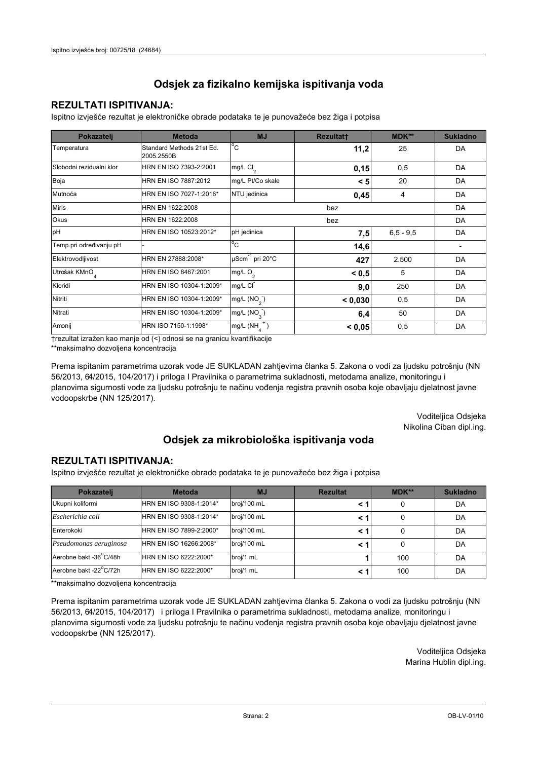## **REZULTATI ISPITIVANJA:**

Ispitno izviešće rezultat je elektroničke obrade podataka te je punovažeće bez žiga i potpisa

| Pokazatelj                | <b>Metoda</b>                           | <b>MJ</b>                   | <b>Rezultatt</b> | <b>MDK**</b>  | <b>Sukladno</b> |
|---------------------------|-----------------------------------------|-----------------------------|------------------|---------------|-----------------|
| Temperatura               | Standard Methods 21st Ed.<br>2005.2550B | $^{\circ}$ C                | 11,2             | 25            | DA              |
| Slobodni rezidualni klor  | HRN EN ISO 7393-2:2001                  | $mg/L$ Cl <sub>2</sub>      | 0,15             | 0,5           | DA              |
| Boja                      | HRN EN ISO 7887:2012                    | mg/L Pt/Co skale            | < 5              | 20            | DA              |
| Mutnoća                   | HRN EN ISO 7027-1:2016*                 | NTU jedinica                | 0,45             | 4             | DA              |
| <b>Miris</b>              | HRN EN 1622:2008                        |                             | bez              |               | DA              |
| Okus                      | HRN EN 1622:2008                        |                             | DA               |               |                 |
| pH                        | HRN EN ISO 10523:2012*                  | pH jedinica                 | 7,5              | $6, 5 - 9, 5$ | DA              |
| Temp.pri određivanju pH   |                                         | $^{\circ}$ C                | 14,6             |               |                 |
| Elektrovodljivost         | HRN EN 27888:2008*                      | µScm <sup>-1</sup> pri 20°C | 427              | 2.500         | DA              |
| Utrošak KMnO <sub>4</sub> | HRN EN ISO 8467:2001                    | mg/L O <sub>2</sub>         | < 0, 5           | 5             | DA              |
| Kloridi                   | HRN EN ISO 10304-1:2009*                | mg/L CI                     | 9,0              | 250           | DA              |
| Nitriti                   | HRN EN ISO 10304-1:2009*                | mg/L $(NO2)$                | < 0,030          | 0,5           | DA              |
| Nitrati                   | HRN EN ISO 10304-1:2009*                | mg/L $(NO3)$                | 6,4              | 50            | DA              |
| Amonij                    | HRN ISO 7150-1:1998*                    | mg/L (NH                    | < 0.05           | 0,5           | DA              |

trezultat izražen kao manje od (<) odnosi se na granicu kvantifikacije

\*\*maksimalno dozvoljena koncentracija

Prema ispitanim parametrima uzorak vode JE SUKLADAN zahtjevima članka 5. Zakona o vodi za ljudsku potrošnju (NN 56/2013, 64/2015, 104/2017) i priloga I Pravilnika o parametrima sukladnosti, metodama analize, monitoringu i planovima sigurnosti vode za ljudsku potrošnju te načinu vođenja registra pravnih osoba koje obavljaju djelatnost javne vodoopskrbe (NN 125/2017).

> Voditeljica Odsjeka Nikolina Ciban dipl.ing.

## Odsjek za mikrobiološka ispitivanja voda

### **REZULTATI ISPITIVANJA:**

Ispitno izvješće rezultat je elektroničke obrade podataka te je punovažeće bez žiga i potpisa

| Pokazatelj             | <b>Metoda</b>           | <b>MJ</b>   | <b>Rezultat</b> | <b>MDK**</b> | <b>Sukladno</b> |
|------------------------|-------------------------|-------------|-----------------|--------------|-----------------|
| Ukupni koliformi       | HRN EN ISO 9308-1:2014* | broj/100 mL |                 | 0            | DA              |
| Escherichia coli       | HRN EN ISO 9308-1:2014* | broj/100 mL |                 | 0            | DA              |
| Enterokoki             | HRN EN ISO 7899-2:2000* | broj/100 mL |                 | 0            | DA              |
| Pseudomonas aeruginosa | HRN EN ISO 16266:2008*  | broj/100 mL |                 | 0            | DA              |
| Aerobne bakt -36 C/48h | HRN EN ISO 6222:2000*   | broj/1 mL   |                 | 100          | DA              |
| Aerobne bakt -22°C/72h | HRN EN ISO 6222:2000*   | broj/1 mL   |                 | 100          | DA              |

\*\*maksimalno dozvoljena koncentracija

Prema ispitanim parametrima uzorak vode JE SUKLADAN zahtjevima članka 5. Zakona o vodi za ljudsku potrošnju (NN 56/2013, 64/2015, 104/2017) i priloga I Pravilnika o parametrima sukladnosti, metodama analize, monitoringu i planovima sigurnosti vode za ljudsku potrošnju te načinu vođenja registra pravnih osoba koje obavljaju djelatnost javne vodoopskrbe (NN 125/2017).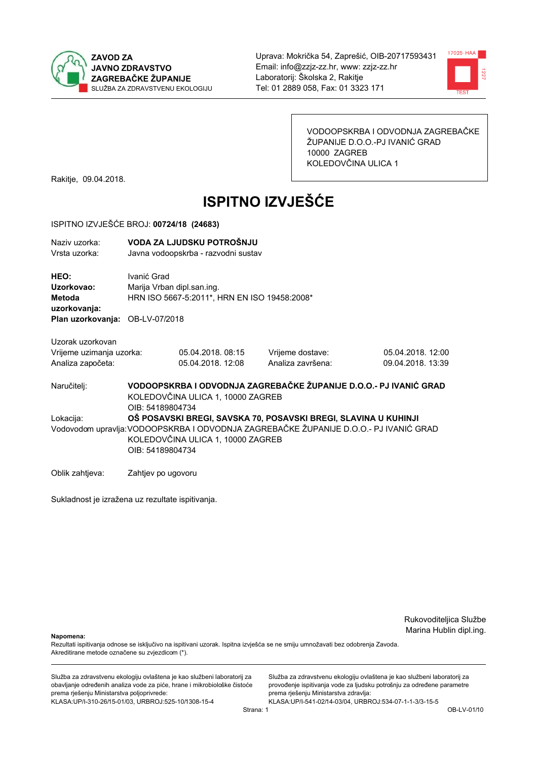



VODOOPSKRBA I ODVODNJA ZAGREBAČKE ŽUPANIJE D.O.O.-PJ IVANIĆ GRAD 10000 ZAGREB KOLEDOVČINA ULICA 1

Rakitje, 09.04.2018.

# **ISPITNO IZVJEŠĆE**

#### ISPITNO IZVJEŠĆE BROJ: 00724/18 (24683)

| Naziv uzorka:<br>Vrsta uzorka:                                                  | VODA ZA LJUDSKU POTROŠNJU<br>Javna vodoopskrba - razvodni sustav                                                                                                                                                  |                                       |                                       |                                        |  |
|---------------------------------------------------------------------------------|-------------------------------------------------------------------------------------------------------------------------------------------------------------------------------------------------------------------|---------------------------------------|---------------------------------------|----------------------------------------|--|
| HEO:<br>Uzorkovao:<br>Metoda<br>uzorkovanja:<br>Plan uzorkovanja: OB-LV-07/2018 | Ivanić Grad<br>Marija Vrban dipl.san.ing.<br>HRN ISO 5667-5:2011*, HRN EN ISO 19458:2008*                                                                                                                         |                                       |                                       |                                        |  |
| Uzorak uzorkovan<br>Vrijeme uzimanja uzorka:<br>Analiza započeta:               |                                                                                                                                                                                                                   | 05.04.2018.08:15<br>05.04.2018. 12:08 | Vrijeme dostave:<br>Analiza završena: | 05.04.2018. 12:00<br>09.04.2018. 13:39 |  |
| Naručitelj:                                                                     | VODOOPSKRBA I ODVODNJA ZAGREBAČKE ŽUPANIJE D.O.O.- PJ IVANIĆ GRAD<br>KOLEDOVČINA ULICA 1, 10000 ZAGREB<br>OIB: 54189804734                                                                                        |                                       |                                       |                                        |  |
| Lokacija:                                                                       | OŠ POSAVSKI BREGI, SAVSKA 70, POSAVSKI BREGI, SLAVINA U KUHINJI<br>Vodovodom upravlja: VODOOPSKRBA I ODVODNJA ZAGREBAČKE ŽUPANIJE D.O.O.- PJ IVANIĆ GRAD<br>KOLEDOVČINA ULICA 1, 10000 ZAGREB<br>OIB: 54189804734 |                                       |                                       |                                        |  |
| Oblik zahtjeva:                                                                 | Zahtjev po ugovoru                                                                                                                                                                                                |                                       |                                       |                                        |  |

Sukladnost je izražena uz rezultate ispitivanja.

Rukovoditeljica Službe Marina Hublin dipl.ing.

Napomena:

Rezultati ispitivanja odnose se isključivo na ispitivani uzorak. Ispitna izvješća se ne smiju umnožavati bez odobrenja Zavoda. Akreditirane metode označene su zvjezdicom (\*).

Služba za zdravstvenu ekologiju ovlaštena je kao službeni laboratorij za obavljanje određenih analiza vode za piće, hrane i mikrobiološke čistoće prema rješenju Ministarstva poljoprivrede: KLASA.UP/I-310-26/15-01/03, URBROJ:525-10/1308-15-4

Služba za zdravstvenu ekologiju ovlaštena je kao službeni laboratorij za provođenje ispitivanja vode za ljudsku potrošnju za određene parametre prema rješenju Ministarstva zdravlja: